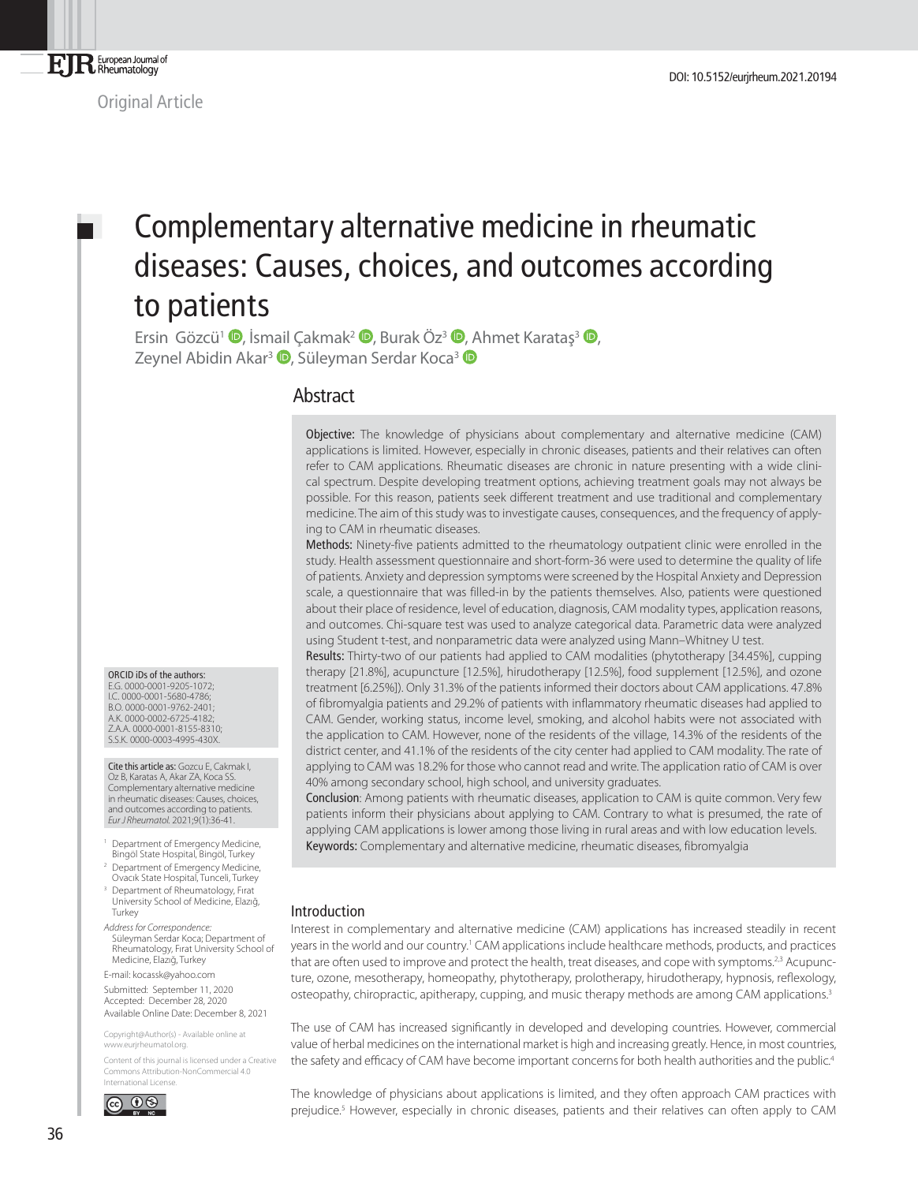Original Article

# Complementary alternative medicine in rheumatic diseases: Causes, choices, and outcomes according to patients

Ersin Gözcü<sup>1</sup> <sup>(D</sup>[,](http://orcid.org/0000-0001-9205-1072) İsmail Çakmak<sup>2</sup> <sup>(D</sup>[,](http://orcid.org/0000-0002-6725-4182) Burak Öz<sup>3</sup> (D, Ahmet Karatas<sup>3</sup> (D, Zeynel Abidin Akar<sup>3</sup> <sup>(D</sup>[,](http://orcid.org/0000-0001-8155-8310) Süleyman Serdar Koca<sup>[3](http://orcid.org/0000-0003-4995-430X)</sup> (D

## **Abstract**

Objective: The knowledge of physicians about complementary and alternative medicine (CAM) applications is limited. However, especially in chronic diseases, patients and their relatives can often refer to CAM applications. Rheumatic diseases are chronic in nature presenting with a wide clinical spectrum. Despite developing treatment options, achieving treatment goals may not always be possible. For this reason, patients seek different treatment and use traditional and complementary medicine. The aim of this study was to investigate causes, consequences, and the frequency of applying to CAM in rheumatic diseases.

Methods: Ninety-five patients admitted to the rheumatology outpatient clinic were enrolled in the study. Health assessment questionnaire and short-form-36 were used to determine the quality of life of patients. Anxiety and depression symptoms were screened by the Hospital Anxiety and Depression scale, a questionnaire that was filled-in by the patients themselves. Also, patients were questioned about their place of residence, level of education, diagnosis, CAM modality types, application reasons, and outcomes. Chi-square test was used to analyze categorical data. Parametric data were analyzed using Student t-test, and nonparametric data were analyzed using Mann–Whitney U test.

Results: Thirty-two of our patients had applied to CAM modalities (phytotherapy [34.45%], cupping therapy [21.8%], acupuncture [12.5%], hirudotherapy [12.5%], food supplement [12.5%], and ozone treatment [6.25%]). Only 31.3% of the patients informed their doctors about CAM applications. 47.8% of fibromyalgia patients and 29.2% of patients with inflammatory rheumatic diseases had applied to CAM. Gender, working status, income level, smoking, and alcohol habits were not associated with the application to CAM. However, none of the residents of the village, 14.3% of the residents of the district center, and 41.1% of the residents of the city center had applied to CAM modality. The rate of applying to CAM was 18.2% for those who cannot read and write. The application ratio of CAM is over 40% among secondary school, high school, and university graduates.

Conclusion: Among patients with rheumatic diseases, application to CAM is quite common. Very few patients inform their physicians about applying to CAM. Contrary to what is presumed, the rate of applying CAM applications is lower among those living in rural areas and with low education levels. Keywords: Complementary and alternative medicine, rheumatic diseases, fibromyalgia

### Introduction

Interest in complementary and alternative medicine (CAM) applications has increased steadily in recent years in the world and our country.<sup>1</sup> CAM applications include healthcare methods, products, and practices that are often used to improve and protect the health, treat diseases, and cope with symptoms.<sup>2,3</sup> Acupuncture, ozone, mesotherapy, homeopathy, phytotherapy, prolotherapy, hirudotherapy, hypnosis, reflexology, osteopathy, chiropractic, apitherapy, cupping, and music therapy methods are among CAM applications.<sup>3</sup>

The use of CAM has increased significantly in developed and developing countries. However, commercial value of herbal medicines on the international market is high and increasing greatly. Hence, in most countries, the safety and efficacy of CAM have become important concerns for both health authorities and the public.<sup>4</sup>

The knowledge of physicians about applications is limited, and they often approach CAM practices with prejudice.<sup>5</sup> However, especially in chronic diseases, patients and their relatives can often apply to CAM

ORCID iDs of the authors: E.G. 0000-0001-9205-1072; I.C. 0000-0001-5680-4786; B.O. 0000-0001-9762-2401; A.K. 0000-0002-6725-4182; Z.A.A. 0000-0001-8155-8310; S.S.K. 0000-0003-4995-430X.

Cite this article as: Gozcu E, Cakmak I, Oz B, Karatas A, Akar ZA, Koca SS. Complementary alternative medicine in rheumatic diseases: Causes, choices, and outcomes according to patients. *Eur J Rheumatol.* 2021;9(1):36-41.

- <sup>1</sup> Department of Emergency Medicine, Bingöl State Hospital, Bingöl, Turkey <sup>2</sup> Department of Emergency Medicine,
- Ovacık State Hospital, Tunceli, Turkey <sup>3</sup> Department of Rheumatology, Firat
- University School of Medicine, Elazığ, Turkey
- *Address for Correspondence:* Süleyman Serdar Koca; Department of Rheumatology, Fırat University School of Medicine, Elazığ, Turkey
- E-mail: kocassk@yahoo.com

Submitted: September 11, 2020 Accepted: December 28, 2020 Available Online Date: December 8, 2021

Copyright@Author(s) - Available online at www.eurjrheumatol.org.

Content of this journal is licensed under a Creative Commons Attribution-NonCommercial 4.0 International License.

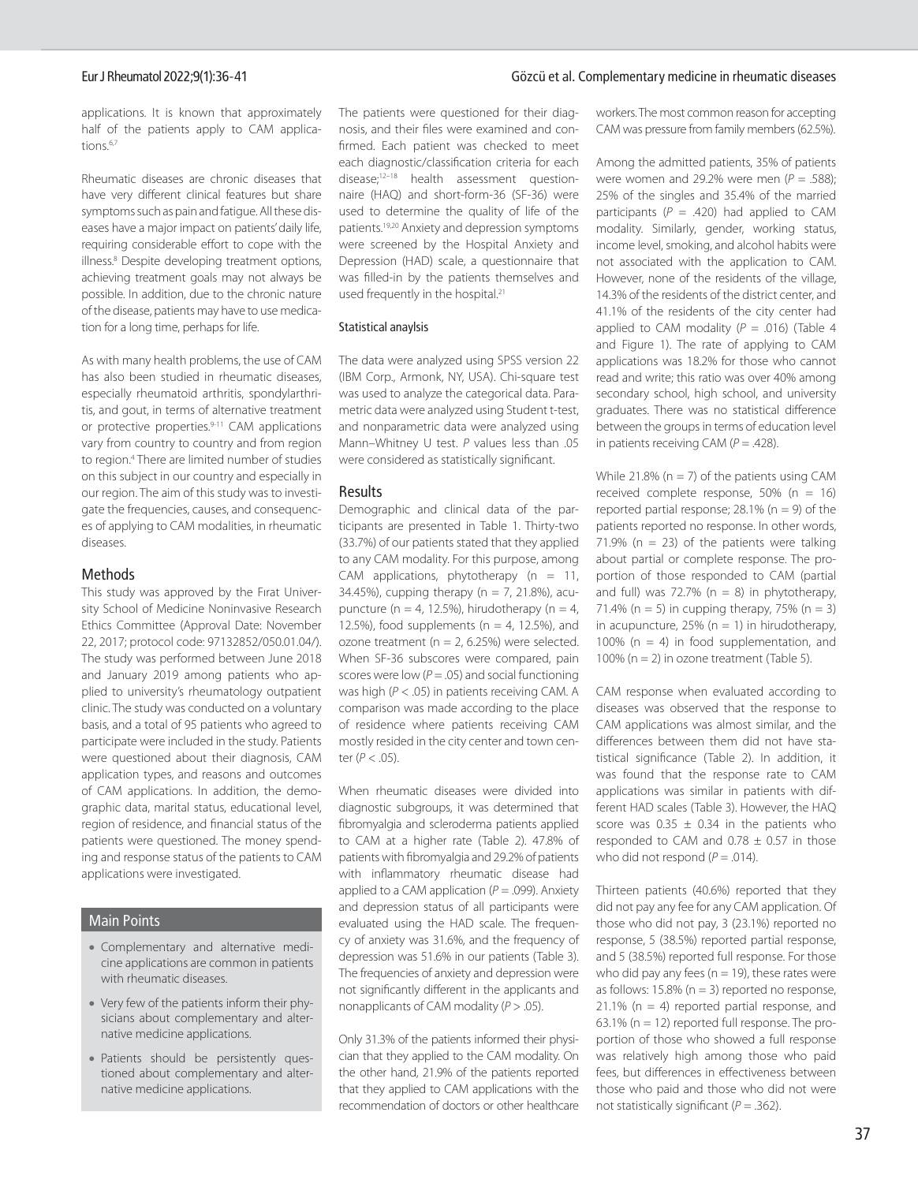#### Eur J Rheumatol 2022;9(1):36-41 Gözcü et al. Complementary medicine in rheumatic diseases

applications. It is known that approximately half of the patients apply to CAM applications.6,7

Rheumatic diseases are chronic diseases that have very different clinical features but share symptoms such as pain and fatigue. All these diseases have a major impact on patients' daily life, requiring considerable effort to cope with the illness.8 Despite developing treatment options, achieving treatment goals may not always be possible. In addition, due to the chronic nature of the disease, patients may have to use medication for a long time, perhaps for life.

As with many health problems, the use of CAM has also been studied in rheumatic diseases, especially rheumatoid arthritis, spondylarthritis, and gout, in terms of alternative treatment or protective properties.<sup>9-11</sup> CAM applications vary from country to country and from region to region.4 There are limited number of studies on this subject in our country and especially in our region. The aim of this study was to investigate the frequencies, causes, and consequences of applying to CAM modalities, in rheumatic diseases.

#### Methods

This study was approved by the Fırat University School of Medicine Noninvasive Research Ethics Committee (Approval Date: November 22, 2017; protocol code: 97132852/050.01.04/). The study was performed between June 2018 and January 2019 among patients who applied to university's rheumatology outpatient clinic. The study was conducted on a voluntary basis, and a total of 95 patients who agreed to participate were included in the study. Patients were questioned about their diagnosis, CAM application types, and reasons and outcomes of CAM applications. In addition, the demographic data, marital status, educational level, region of residence, and financial status of the patients were questioned. The money spending and response status of the patients to CAM applications were investigated.

### Main Points

- Complementary and alternative medicine applications are common in patients with rheumatic diseases.
- Very few of the patients inform their physicians about complementary and alternative medicine applications.
- Patients should be persistently questioned about complementary and alternative medicine applications.

The patients were questioned for their diagnosis, and their files were examined and confirmed. Each patient was checked to meet each diagnostic/classification criteria for each disease;12–18 health assessment questionnaire (HAQ) and short-form-36 (SF-36) were used to determine the quality of life of the patients.19,20 Anxiety and depression symptoms were screened by the Hospital Anxiety and Depression (HAD) scale, a questionnaire that was filled-in by the patients themselves and used frequently in the hospital.<sup>21</sup>

#### Statistical anaylsis

The data were analyzed using SPSS version 22 (IBM Corp., Armonk, NY, USA). Chi-square test was used to analyze the categorical data. Parametric data were analyzed using Student t-test, and nonparametric data were analyzed using Mann–Whitney U test. *P* values less than .05 were considered as statistically significant.

#### Results

Demographic and clinical data of the participants are presented in Table 1. Thirty-two (33.7%) of our patients stated that they applied to any CAM modality. For this purpose, among CAM applications, phytotherapy  $(n = 11)$ , 34.45%), cupping therapy ( $n = 7$ , 21.8%), acupuncture ( $n = 4$ , 12.5%), hirudotherapy ( $n = 4$ , 12.5%), food supplements ( $n = 4$ , 12.5%), and ozone treatment ( $n = 2$ , 6.25%) were selected. When SF-36 subscores were compared, pain scores were low  $(P = .05)$  and social functioning was high (*P* < .05) in patients receiving CAM. A comparison was made according to the place of residence where patients receiving CAM mostly resided in the city center and town center (*P* < .05).

When rheumatic diseases were divided into diagnostic subgroups, it was determined that fibromyalgia and scleroderma patients applied to CAM at a higher rate (Table 2). 47.8% of patients with fibromyalgia and 29.2% of patients with inflammatory rheumatic disease had applied to a CAM application  $(P = .099)$ . Anxiety and depression status of all participants were evaluated using the HAD scale. The frequency of anxiety was 31.6%, and the frequency of depression was 51.6% in our patients (Table 3). The frequencies of anxiety and depression were not significantly different in the applicants and nonapplicants of CAM modality (*P* > .05).

Only 31.3% of the patients informed their physician that they applied to the CAM modality. On the other hand, 21.9% of the patients reported that they applied to CAM applications with the recommendation of doctors or other healthcare

workers. The most common reason for accepting CAM was pressure from family members (62.5%).

Among the admitted patients, 35% of patients were women and 29.2% were men  $(P = .588)$ : 25% of the singles and 35.4% of the married participants ( $P = .420$ ) had applied to CAM modality. Similarly, gender, working status, income level, smoking, and alcohol habits were not associated with the application to CAM. However, none of the residents of the village, 14.3% of the residents of the district center, and 41.1% of the residents of the city center had applied to CAM modality  $(P = .016)$  (Table 4) and Figure 1). The rate of applying to CAM applications was 18.2% for those who cannot read and write; this ratio was over 40% among secondary school, high school, and university graduates. There was no statistical difference between the groups in terms of education level in patients receiving CAM (*P* = .428).

While 21.8% ( $n = 7$ ) of the patients using CAM received complete response,  $50\%$  (n = 16) reported partial response;  $28.1\%$  (n = 9) of the patients reported no response. In other words, 71.9% ( $n = 23$ ) of the patients were talking about partial or complete response. The proportion of those responded to CAM (partial and full) was 72.7% ( $n = 8$ ) in phytotherapy, 71.4% ( $n = 5$ ) in cupping therapy, 75% ( $n = 3$ ) in acupuncture,  $25\%$  (n = 1) in hirudotherapy, 100% ( $n = 4$ ) in food supplementation, and 100% ( $n = 2$ ) in ozone treatment (Table 5).

CAM response when evaluated according to diseases was observed that the response to CAM applications was almost similar, and the differences between them did not have statistical significance (Table 2). In addition, it was found that the response rate to CAM applications was similar in patients with different HAD scales (Table 3). However, the HAQ score was  $0.35 \pm 0.34$  in the patients who responded to CAM and  $0.78 \pm 0.57$  in those who did not respond  $(P = .014)$ .

Thirteen patients (40.6%) reported that they did not pay any fee for any CAM application. Of those who did not pay, 3 (23.1%) reported no response, 5 (38.5%) reported partial response, and 5 (38.5%) reported full response. For those who did pay any fees ( $n = 19$ ), these rates were as follows:  $15.8\%$  (n = 3) reported no response, 21.1% ( $n = 4$ ) reported partial response, and 63.1% ( $n = 12$ ) reported full response. The proportion of those who showed a full response was relatively high among those who paid fees, but differences in effectiveness between those who paid and those who did not were not statistically significant ( $P = .362$ ).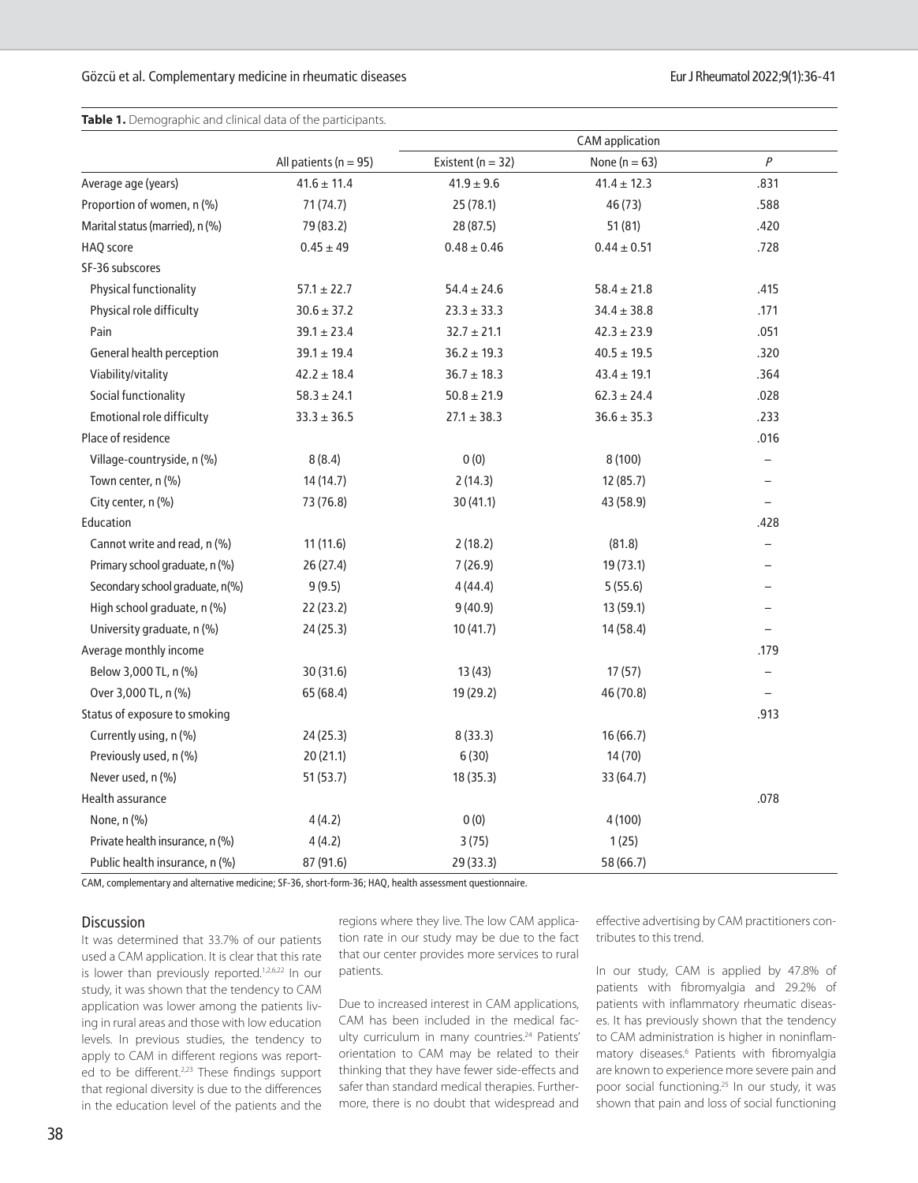### Gözcü et al. Complementary medicine in rheumatic diseases Eur J Rheumatol 2022;9(1):36-41

**Table 1.** Demographic and clinical data of the participants.

|                                 |                           | <b>CAM</b> application |                   |                          |
|---------------------------------|---------------------------|------------------------|-------------------|--------------------------|
|                                 | All patients ( $n = 95$ ) | Existent ( $n = 32$ )  | None ( $n = 63$ ) | $\overline{P}$           |
| Average age (years)             | $41.6 \pm 11.4$           | $41.9 \pm 9.6$         | $41.4 \pm 12.3$   | .831                     |
| Proportion of women, n (%)      | 71(74.7)                  | 25(78.1)               | 46 (73)           | .588                     |
| Marital status (married), n (%) | 79 (83.2)                 | 28 (87.5)              | 51(81)            | .420                     |
| HAQ score                       | $0.45 \pm 49$             | $0.48 \pm 0.46$        | $0.44 \pm 0.51$   | .728                     |
| SF-36 subscores                 |                           |                        |                   |                          |
| Physical functionality          | $57.1 \pm 22.7$           | $54.4 \pm 24.6$        | $58.4 \pm 21.8$   | .415                     |
| Physical role difficulty        | $30.6 \pm 37.2$           | $23.3 \pm 33.3$        | $34.4 \pm 38.8$   | .171                     |
| Pain                            | $39.1 \pm 23.4$           | $32.7 \pm 21.1$        | $42.3 \pm 23.9$   | .051                     |
| General health perception       | $39.1 \pm 19.4$           | $36.2 \pm 19.3$        | $40.5 \pm 19.5$   | .320                     |
| Viability/vitality              | $42.2 \pm 18.4$           | $36.7 \pm 18.3$        | $43.4 \pm 19.1$   | .364                     |
| Social functionality            | $58.3 \pm 24.1$           | $50.8 \pm 21.9$        | $62.3 \pm 24.4$   | .028                     |
| Emotional role difficulty       | $33.3 \pm 36.5$           | $27.1 \pm 38.3$        | $36.6 \pm 35.3$   | .233                     |
| Place of residence              |                           |                        |                   | .016                     |
| Village-countryside, n (%)      | 8(8.4)                    | 0(0)                   | 8(100)            | $\overline{\phantom{0}}$ |
| Town center, n (%)              | 14(14.7)                  | 2(14.3)                | 12 (85.7)         | $\overline{\phantom{0}}$ |
| City center, n (%)              | 73 (76.8)                 | 30 (41.1)              | 43 (58.9)         |                          |
| Education                       |                           |                        |                   | .428                     |
| Cannot write and read, n (%)    | 11 (11.6)                 | 2(18.2)                | (81.8)            |                          |
| Primary school graduate, n (%)  | 26(27.4)                  | 7(26.9)                | 19 (73.1)         |                          |
| Secondary school graduate, n(%) | 9(9.5)                    | 4(44.4)                | 5(55.6)           |                          |
| High school graduate, n (%)     | 22(23.2)                  | 9(40.9)                | 13 (59.1)         |                          |
| University graduate, n (%)      | 24(25.3)                  | 10 (41.7)              | 14 (58.4)         |                          |
| Average monthly income          |                           |                        |                   | .179                     |
| Below 3,000 TL, n (%)           | 30 (31.6)                 | 13(43)                 | 17(57)            |                          |
| Over 3,000 TL, n (%)            | 65 (68.4)                 | 19 (29.2)              | 46 (70.8)         |                          |
| Status of exposure to smoking   |                           |                        |                   | .913                     |
| Currently using, n (%)          | 24(25.3)                  | 8(33.3)                | 16(66.7)          |                          |
| Previously used, n (%)          | 20 (21.1)                 | 6(30)                  | 14 (70)           |                          |
| Never used, n (%)               | 51(53.7)                  | 18 (35.3)              | 33 (64.7)         |                          |
| Health assurance                |                           |                        |                   | .078                     |
| None, n (%)                     | 4(4.2)                    | 0(0)                   | 4(100)            |                          |
| Private health insurance, n (%) | 4(4.2)                    | 3(75)                  | 1(25)             |                          |
| Public health insurance, n (%)  | 87 (91.6)                 | 29 (33.3)              | 58 (66.7)         |                          |

CAM, complementary and alternative medicine; SF-36, short-form-36; HAQ, health assessment questionnaire.

#### Discussion

It was determined that 33.7% of our patients used a CAM application. It is clear that this rate is lower than previously reported.<sup>1,2,6,22</sup> In our study, it was shown that the tendency to CAM application was lower among the patients living in rural areas and those with low education levels. In previous studies, the tendency to apply to CAM in different regions was reported to be different.<sup>2,23</sup> These findings support that regional diversity is due to the differences in the education level of the patients and the

regions where they live. The low CAM application rate in our study may be due to the fact that our center provides more services to rural patients.

Due to increased interest in CAM applications, CAM has been included in the medical faculty curriculum in many countries.<sup>24</sup> Patients' orientation to CAM may be related to their thinking that they have fewer side-effects and safer than standard medical therapies. Furthermore, there is no doubt that widespread and

effective advertising by CAM practitioners contributes to this trend.

In our study, CAM is applied by 47.8% of patients with fibromyalgia and 29.2% of patients with inflammatory rheumatic diseases. It has previously shown that the tendency to CAM administration is higher in noninflammatory diseases.6 Patients with fibromyalgia are known to experience more severe pain and poor social functioning.25 In our study, it was shown that pain and loss of social functioning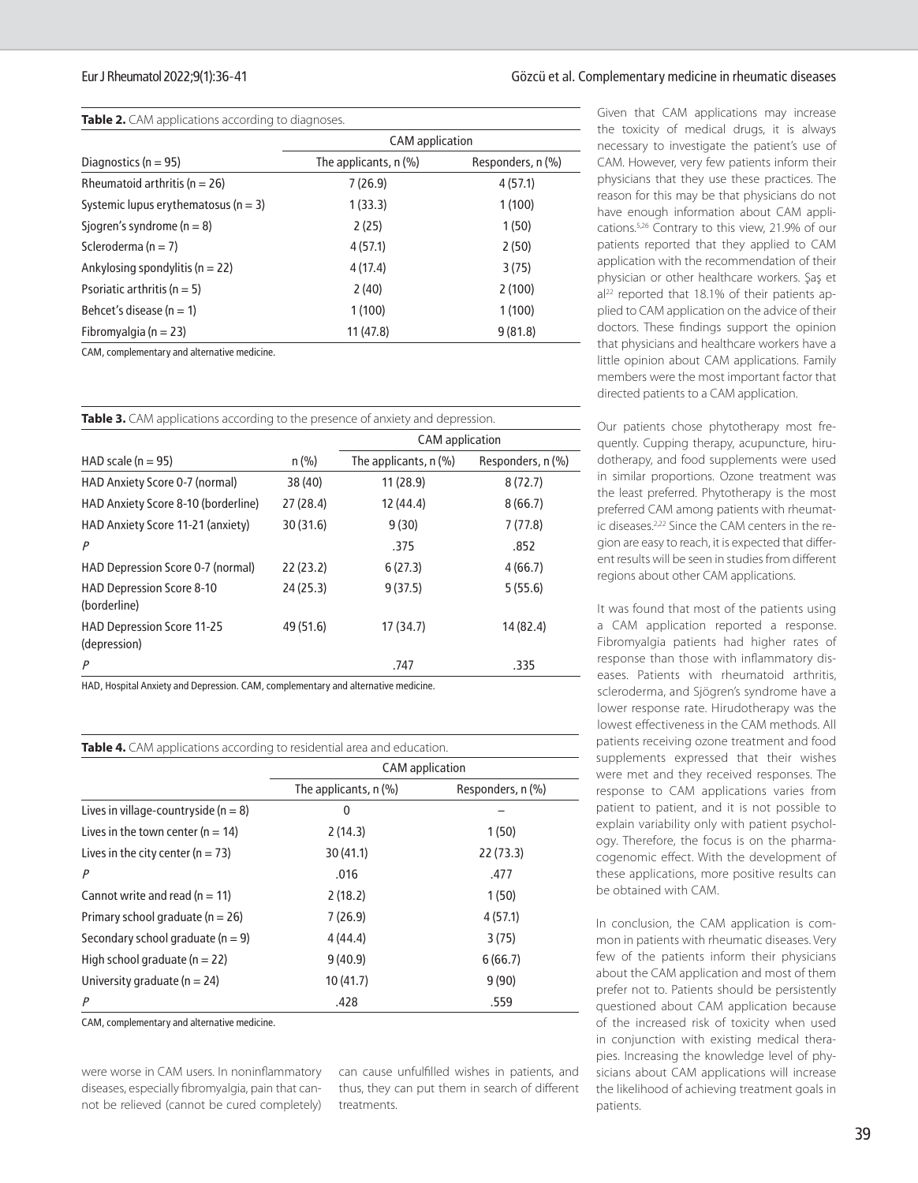### Eur J Rheumatol 2022;9(1):36-41 Gözcü et al. Complementary medicine in rheumatic diseases

| Table 2. CAM applications according to diagnoses. |  |
|---------------------------------------------------|--|
|---------------------------------------------------|--|

|                                          | <b>CAM</b> application  |                   |  |
|------------------------------------------|-------------------------|-------------------|--|
| Diagnostics ( $n = 95$ )                 | The applicants, $n$ (%) | Responders, n (%) |  |
| Rheumatoid arthritis ( $n = 26$ )        | 7(26.9)                 | 4(57.1)           |  |
| Systemic lupus erythematosus ( $n = 3$ ) | 1(33.3)                 | 1(100)            |  |
| Sjogren's syndrome ( $n = 8$ )           | 2(25)                   | 1(50)             |  |
| Scleroderma ( $n = 7$ )                  | 4(57.1)                 | 2(50)             |  |
| Ankylosing spondylitis ( $n = 22$ )      | 4(17.4)                 | 3(75)             |  |
| Psoriatic arthritis ( $n = 5$ )          | 2(40)                   | 2(100)            |  |
| Behcet's disease ( $n = 1$ )             | 1(100)                  | 1(100)            |  |
| Fibromyalgia ( $n = 23$ )                | 11(47.8)                | 9(81.8)           |  |

CAM, complementary and alternative medicine.

| <b>Table 3.</b> CAM applications according to the presence of anxiety and depression. |           |                         |                   |
|---------------------------------------------------------------------------------------|-----------|-------------------------|-------------------|
|                                                                                       |           | <b>CAM</b> application  |                   |
| HAD scale ( $n = 95$ )                                                                | n (% )    | The applicants, $n$ (%) | Responders, n (%) |
| HAD Anxiety Score 0-7 (normal)                                                        | 38 (40)   | 11(28.9)                | 8(72.7)           |
| HAD Anxiety Score 8-10 (borderline)                                                   | 27(28.4)  | 12 (44.4)               | 8(66.7)           |
| HAD Anxiety Score 11-21 (anxiety)                                                     | 30(31.6)  | 9(30)                   | 7(77.8)           |
| P                                                                                     |           | .375                    | .852              |
| HAD Depression Score 0-7 (normal)                                                     | 22(23.2)  | 6(27.3)                 | 4(66.7)           |
| <b>HAD Depression Score 8-10</b><br>(borderline)                                      | 24(25.3)  | 9(37.5)                 | 5(55.6)           |
| HAD Depression Score 11-25<br>(depression)                                            | 49 (51.6) | 17(34.7)                | 14 (82.4)         |
| P                                                                                     |           | .747                    | .335              |
| UAD Hospital Anvioty and Depression CAM complementary and alternative medicine        |           |                         |                   |

HAD, Hospital Anxiety and Depression. CAM, complementary and alternative medicine.

| <b>Table 4.</b> CAM applications according to residential area and education. |  |
|-------------------------------------------------------------------------------|--|
|-------------------------------------------------------------------------------|--|

|                                          | <b>CAM</b> application  |                   |
|------------------------------------------|-------------------------|-------------------|
|                                          | The applicants, $n$ (%) | Responders, n (%) |
| Lives in village-countryside ( $n = 8$ ) | 0                       |                   |
| Lives in the town center ( $n = 14$ )    | 2(14.3)                 | 1(50)             |
| Lives in the city center ( $n = 73$ )    | 30(41.1)                | 22 (73.3)         |
| P                                        | .016                    | .477              |
| Cannot write and read ( $n = 11$ )       | 2(18.2)                 | 1(50)             |
| Primary school graduate ( $n = 26$ )     | 7(26.9)                 | 4(57.1)           |
| Secondary school graduate ( $n = 9$ )    | 4(44.4)                 | 3(75)             |
| High school graduate ( $n = 22$ )        | 9(40.9)                 | 6(66.7)           |
| University graduate ( $n = 24$ )         | 10(41.7)                | 9(90)             |
| P                                        | .428                    | .559              |

CAM, complementary and alternative medicine.

were worse in CAM users. In noninflammatory diseases, especially fibromyalgia, pain that cannot be relieved (cannot be cured completely)

can cause unfulfilled wishes in patients, and thus, they can put them in search of different treatments.

Given that CAM applications may increase the toxicity of medical drugs, it is always necessary to investigate the patient's use of CAM. However, very few patients inform their physicians that they use these practices. The reason for this may be that physicians do not have enough information about CAM applications.5,26 Contrary to this view, 21.9% of our patients reported that they applied to CAM application with the recommendation of their physician or other healthcare workers. Şaş et  $al<sup>22</sup>$  reported that 18.1% of their patients applied to CAM application on the advice of their doctors. These findings support the opinion that physicians and healthcare workers have a little opinion about CAM applications. Family members were the most important factor that directed patients to a CAM application.

Our patients chose phytotherapy most frequently. Cupping therapy, acupuncture, hirudotherapy, and food supplements were used in similar proportions. Ozone treatment was the least preferred. Phytotherapy is the most preferred CAM among patients with rheumatic diseases.<sup>2,22</sup> Since the CAM centers in the region are easy to reach, it is expected that different results will be seen in studies from different regions about other CAM applications.

It was found that most of the patients using a CAM application reported a response. Fibromyalgia patients had higher rates of response than those with inflammatory diseases. Patients with rheumatoid arthritis, scleroderma, and Sjögren's syndrome have a lower response rate. Hirudotherapy was the lowest effectiveness in the CAM methods. All patients receiving ozone treatment and food supplements expressed that their wishes were met and they received responses. The response to CAM applications varies from patient to patient, and it is not possible to explain variability only with patient psychology. Therefore, the focus is on the pharmacogenomic effect. With the development of these applications, more positive results can be obtained with CAM.

In conclusion, the CAM application is common in patients with rheumatic diseases. Very few of the patients inform their physicians about the CAM application and most of them prefer not to. Patients should be persistently questioned about CAM application because of the increased risk of toxicity when used in conjunction with existing medical therapies. Increasing the knowledge level of physicians about CAM applications will increase the likelihood of achieving treatment goals in patients.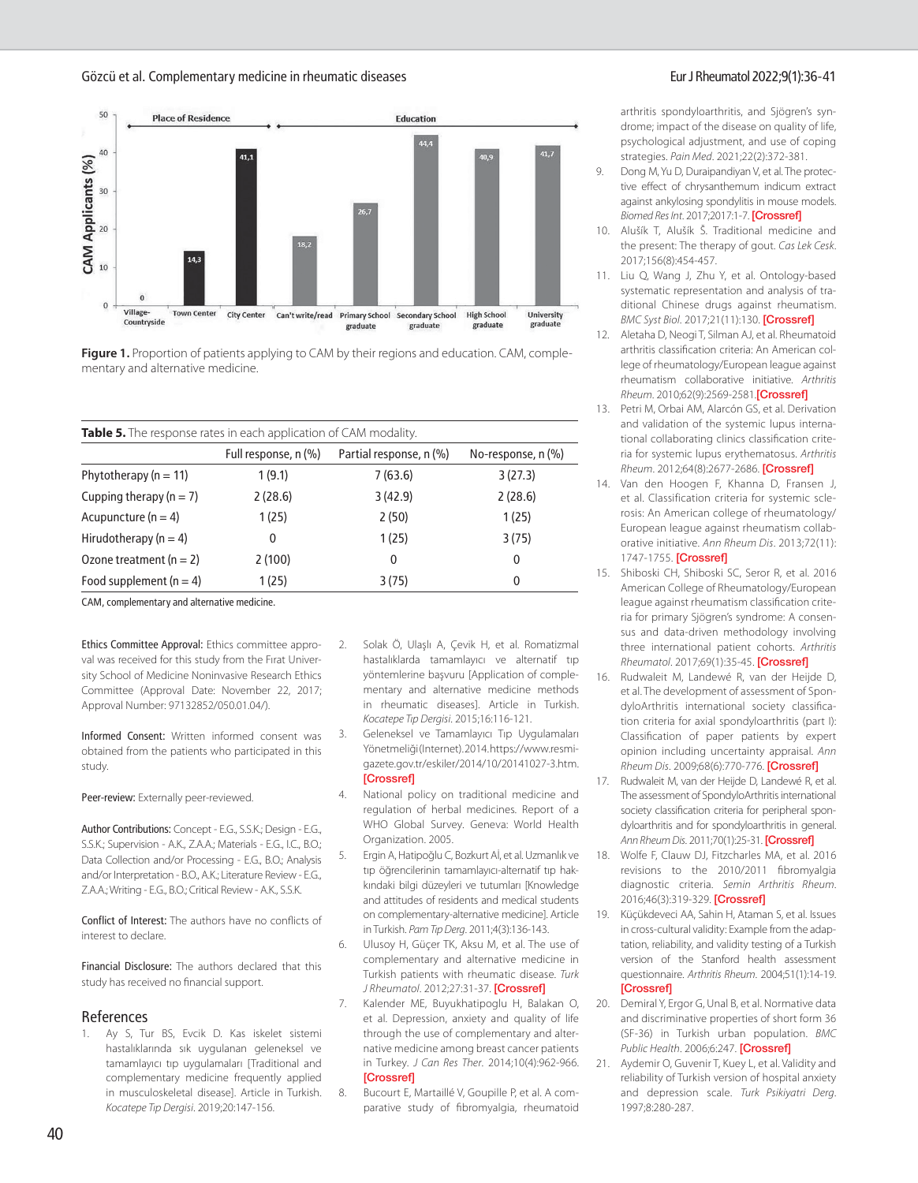Gözcü et al. Complementary medicine in rheumatic diseases Eur J Rheumatol 2022;9(1):36-41



**Figure 1.** Proportion of patients applying to CAM by their regions and education. CAM, complementary and alternative medicine.

| Table 5. The response rates in each application of CAM modality. |  |
|------------------------------------------------------------------|--|
|------------------------------------------------------------------|--|

|                             | Full response, n (%) | Partial response, n (%) | No-response, $n$ $\left(\% \right)$ |
|-----------------------------|----------------------|-------------------------|-------------------------------------|
| Phytotherapy ( $n = 11$ )   | 1(9.1)               | 7(63.6)                 | 3(27.3)                             |
| Cupping therapy ( $n = 7$ ) | 2(28.6)              | 3(42.9)                 | 2(28.6)                             |
| Acupuncture ( $n = 4$ )     | 1(25)                | 2(50)                   | 1(25)                               |
| Hirudotherapy ( $n = 4$ )   | 0                    | 1(25)                   | 3(75)                               |
| Ozone treatment $(n = 2)$   | 2(100)               | 0                       | 0                                   |
| Food supplement ( $n = 4$ ) | 1(25)                | 3(75)                   | $\overline{0}$                      |
|                             |                      |                         |                                     |

CAM, complementary and alternative medicine.

Ethics Committee Approval: Ethics committee approval was received for this study from the Fırat University School of Medicine Noninvasive Research Ethics Committee (Approval Date: November 22, 2017; Approval Number: 97132852/050.01.04/).

Informed Consent: Written informed consent was obtained from the patients who participated in this study.

Peer-review: Externally peer-reviewed.

Author Contributions: Concept - E.G., S.S.K.; Design - E.G., S.S.K.; Supervision - A.K., Z.A.A.; Materials - E.G., I.C., B.O.; Data Collection and/or Processing - E.G., B.O.; Analysis and/or Interpretation - B.O., A.K.; Literature Review - E.G., Z.A.A.; Writing - E.G., B.O.; Critical Review - A.K., S.S.K.

Conflict of Interest: The authors have no conflicts of interest to declare.

Financial Disclosure: The authors declared that this study has received no financial support.

#### References

Ay S, Tur BS, Evcik D. Kas iskelet sistemi hastalıklarında sık uygulanan geleneksel ve tamamlayıcı tıp uygulamaları [Traditional and complementary medicine frequently applied in musculoskeletal disease]. Article in Turkish. *Kocatepe Tıp Dergisi*. 2019;20:147-156.

- 2. Solak Ö, Ulaşlı A, Çevik H, et al. Romatizmal hastalıklarda tamamlayıcı ve alternatif tıp yöntemlerine başvuru [Application of complementary and alternative medicine methods in rheumatic diseases]. Article in Turkish. *Kocatepe Tıp Dergisi*. 2015;16:116-121.
- 3. Geleneksel ve Tamamlayıcı Tıp Uygulamaları Yönetmeliği (Internet). 2014. https://www.resmigazete.gov.tr/eskiler/2014/10/20141027-3.htm. [[Crossref](https://doi.org/10.18229/ktd.79521)]
- 4. National policy on traditional medicine and regulation of herbal medicines. Report of a WHO Global Survey. Geneva: World Health Organization. 2005.
- 5. Ergin A, Hatipoğlu C, Bozkurt Aİ, et al. Uzmanlık ve tıp öğrencilerinin tamamlayıcı-alternatif tıp hakkındaki bilgi düzeyleri ve tutumları [Knowledge and attitudes of residents and medical students on complementary-alternative medicine]. Article in Turkish. *Pam Tıp Derg*. 2011;4(3):136-143.
- 6. Ulusoy H, Güçer TK, Aksu M, et al. The use of complementary and alternative medicine in Turkish patients with rheumatic disease. *Turk J Rheumatol*. 2012;27:31-37. [[Crossref\]](https://doi.org/10.5606/tjr.2012.004)
- 7. Kalender ME, Buyukhatipoglu H, Balakan O, et al. Depression, anxiety and quality of life through the use of complementary and alternative medicine among breast cancer patients in Turkey. *J Can Res Ther*. 2014;10(4):962-966. **[[Crossref](https://doi.org/10.4103/0973-1482.138010)]**
- 8. Bucourt E, Martaillé V, Goupille P, et al. A comparative study of fibromyalgia, rheumatoid

arthritis spondyloarthritis, and Sjögren's syndrome; impact of the disease on quality of life, psychological adjustment, and use of coping strategies. *Pain Med*. 2021;22(2):372-381.

- 9. Dong M, Yu D, Duraipandiyan V, et al. The protective effect of chrysanthemum indicum extract against ankylosing spondylitis in mouse models. *Biomed Res Int*. 2017;2017:1-7. [[Crossref\]](https://doi.org/10.1155/2017/8206281)
- 10. Alušík T, Alušík Š. Traditional medicine and the present: The therapy of gout. *Cas Lek Cesk*. 2017;156(8):454-457.
- 11. Liu Q, Wang J, Zhu Y, et al. Ontology-based systematic representation and analysis of traditional Chinese drugs against rheumatism. *BMC Syst Biol*. 2017;21(11):130. [[Crossref\]](https://doi.org/10.1186/s12918-017-0510-5)
- 12. Aletaha D, Neogi T, Silman AJ, et al. Rheumatoid arthritis classification criteria: An American college of rheumatology/European league against rheumatism collaborative initiative. *Arthritis Rheum*. 2010;62(9):2569-2581.[\[Crossref](https://doi.org/10.1002/art.27584)]
- 13. Petri M, Orbai AM, Alarcón GS, et al. Derivation and validation of the systemic lupus international collaborating clinics classification criteria for systemic lupus erythematosus. *Arthritis Rheum*. 2012;64(8):2677-2686. [\[Crossref](https://doi.org/10.1002/art.34473)]
- 14. Van den Hoogen F, Khanna D, Fransen J, et al. Classification criteria for systemic sclerosis: An American college of rheumatology/ European league against rheumatism collaborative initiative. *Ann Rheum Dis*. 2013;72(11): 1747-1755. [\[Crossref](https://doi.org/10.1136/annrheumdis-2013-204424)]
- 15. Shiboski CH, Shiboski SC, Seror R, et al. 2016 American College of Rheumatology/European league against rheumatism classification criteria for primary Sjögren's syndrome: A consensus and data-driven methodology involving three international patient cohorts. *Arthritis Rheumatol*. 2017;69(1):35-45. [\[Crossref\]](https://doi.org/10.1002/art.39859)
- 16. Rudwaleit M, Landewé R, van der Heijde D, et al. The development of assessment of SpondyloArthritis international society classification criteria for axial spondyloarthritis (part I): Classification of paper patients by expert opinion including uncertainty appraisal. *Ann Rheum Dis*. 2009;68(6):770-776. [\[Crossref\]](https://doi.org/10.1136/ard.2009.108217)
- 17. Rudwaleit M, van der Heijde D, Landewé R, et al. The assessment of SpondyloArthritis international society classification criteria for peripheral spondyloarthritis and for spondyloarthritis in general. *Ann Rheum Dis*. 2011;70(1):25-31. [[Crossref\]](https://doi.org/10.1136/ard.2010.133645)
- 18. Wolfe F, Clauw DJ, Fitzcharles MA, et al. 2016 revisions to the 2010/2011 fibromyalgia diagnostic criteria. *Semin Arthritis Rheum*. 2016;46(3):319-329. [[Crossref\]](https://doi.org/10.1016/j.semarthrit.2016.08.012)
- 19. Küçükdeveci AA, Sahin H, Ataman S, et al. Issues in cross-cultural validity: Example from the adaptation, reliability, and validity testing of a Turkish version of the Stanford health assessment questionnaire. *Arthritis Rheum*. 2004;51(1):14-19. [[Crossref\]](https://doi.org/10.1002/art.20091)
- 20. Demiral Y, Ergor G, Unal B, et al. Normative data and discriminative properties of short form 36 (SF-36) in Turkish urban population. *BMC Public Health*. 2006;6:247. [\[Crossref](https://doi.org/10.1186/1471-2458-6-247)]
- 21. Aydemir O, Guvenir T, Kuey L, et al. Validity and reliability of Turkish version of hospital anxiety and depression scale. *Turk Psikiyatri Derg*. 1997;8:280-287.